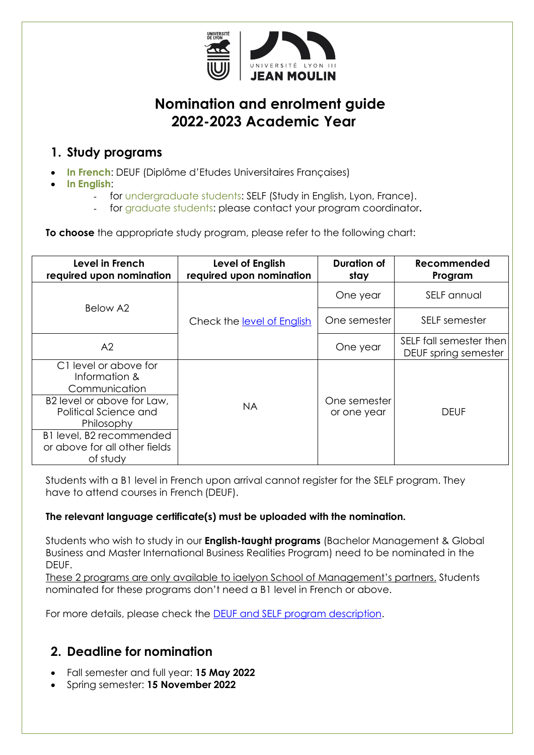

# **Nomination and enrolment guide 2022-2023 Academic Year**

### **1. Study programs**

- **In French**: DEUF (Diplôme d'Etudes Universitaires Françaises)
- **In English**:
	- for undergraduate students: SELF (Study in English, Lyon, France).
	- for graduate students: please contact your program coordinator**.**

**To choose** the appropriate study program, please refer to the following chart:

| Level in French<br>required upon nomination                                                                                                                                                           | Level of English<br>required upon nomination | <b>Duration of</b><br>stay  | Recommended<br>Program                          |
|-------------------------------------------------------------------------------------------------------------------------------------------------------------------------------------------------------|----------------------------------------------|-----------------------------|-------------------------------------------------|
| Below A2                                                                                                                                                                                              | Check the level of English                   | One year                    | SELF annual                                     |
|                                                                                                                                                                                                       |                                              | One semester                | SELF semester                                   |
| A2                                                                                                                                                                                                    |                                              | One year                    | SELF fall semester then<br>DEUF spring semester |
| C1 level or above for<br>Information &<br>Communication<br>B2 level or above for Law,<br>Political Science and<br>Philosophy<br>B1 level, B2 recommended<br>or above for all other fields<br>of study | NA.                                          | One semester<br>or one year | <b>DEUF</b>                                     |

Students with a B1 level in French upon arrival cannot register for the SELF program. They have to attend courses in French (DEUF).

#### **The relevant language certificate(s) must be uploaded with the nomination.**

Students who wish to study in our **English-taught programs** (Bachelor Management & Global Business and Master International Business Realities Program) need to be nominated in the DEUF.

These 2 programs are only available to iaelyon School of Management's partners. Students nominated for these programs don't need a B1 level in French or above.

For more details, please check the [DEUF and SELF program description.](http://www.univ-lyon3.fr/comparing-self-and-deuf-programs-710055.kjsp?RH=INS-INTEveni)

## **2. Deadline for nomination**

- Fall semester and full year: **15 May 2022**
- Spring semester: **15 November 2022**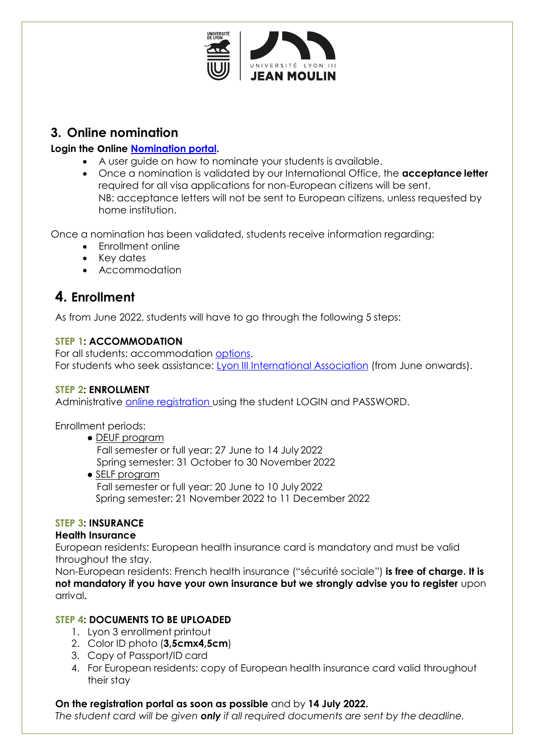

### **3. Online nomination**

#### **Login the online [Nomination portal.](https://apps.univ-lyon3.fr/nominations/Root/Public/IdentificationCorrespondants.aspx)**

- A user guide on how to nominate your students is available.
- Once a nomination is validated by our International Office, the **acceptance letter** required for all visa applications for non-European citizens will be sent. NB: acceptance letters will not be sent to European citizens, unless requested by home institution.

Once a nomination has been validated, students receive information regarding:

- Enrollment online
- Key dates
- Accommodation

## **4. Enrollment**

As from June 2022, students will have to go through the following 5 steps:

#### **STEP 1: ACCOMMODATION**

For all students: accommodation [options](https://www.univ-lyon3.fr/se-loger-a-lyon). For students who seek assistance: [Lyon III International Association](https://www.associnterlyon3.fr/) (from June onwards).

#### **STEP 2: ENROLLMENT**

Administrative [online registration u](https://webinscription.univ-lyon3.fr/)sing the student LOGIN and PASSWORD.

Enrollment periods:

**●** DEUF program

Fall semester or full year: 27 June to 14 July 2022 Spring semester: 31 October to 30 November 2022

**●** SELF program Fall semester or full year: 20 June to 10 July 2022 Spring semester: 21 November 2022 to 11 December 2022

#### **STEP 3: INSURANCE**

#### **Health Insurance**

European residents: European health insurance card is mandatory and must be valid throughout the stay.

Non-European residents: French health insurance ("sécurité sociale") **is free of charge. It is not mandatory if you have your own insurance but we strongly advise you to register** upon arrival**.**

#### **STEP 4: DOCUMENTS TO BE UPLOADED**

- 1. Lyon 3 enrollment printout
- 2. Color ID photo (**3,5cmx4,5cm**)
- 3. Copy of Passport/ID card
- 4. For European residents: copy of European health insurance card valid throughout their stay

#### **On the registration portal as soon as possible** and by **14 July 2022.**

*The student card will be given only if all required documents are sent by the deadline.*